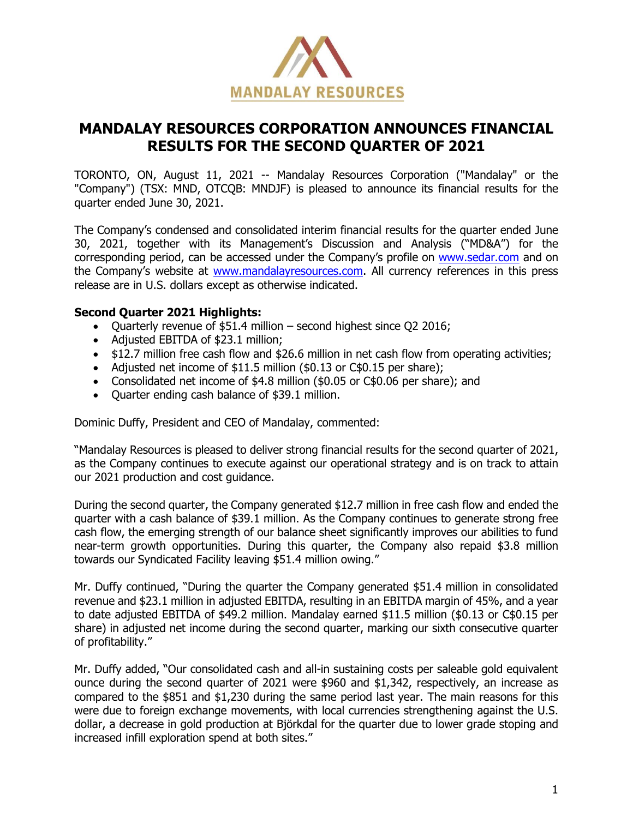

# **MANDALAY RESOURCES CORPORATION ANNOUNCES FINANCIAL RESULTS FOR THE SECOND QUARTER OF 2021**

TORONTO, ON, August 11, 2021 -- Mandalay Resources Corporation ("Mandalay" or the "Company") (TSX: MND, OTCQB: MNDJF) is pleased to announce its financial results for the quarter ended June 30, 2021.

The Company's condensed and consolidated interim financial results for the quarter ended June 30, 2021, together with its Management's Discussion and Analysis ("MD&A") for the corresponding period, can be accessed under the Company's profile on [www.sedar.com](http://www.sedar.com/) and on the Company's website at [www.mandalayresources.com.](http://www.mandalayresources.com/) All currency references in this press release are in U.S. dollars except as otherwise indicated.

#### **Second Quarter 2021 Highlights:**

- Quarterly revenue of \$51.4 million second highest since Q2 2016;
- Adjusted EBITDA of \$23.1 million;
- \$12.7 million free cash flow and \$26.6 million in net cash flow from operating activities;
- Adjusted net income of \$11.5 million (\$0.13 or C\$0.15 per share);
- Consolidated net income of \$4.8 million (\$0.05 or C\$0.06 per share); and
- Quarter ending cash balance of \$39.1 million.

Dominic Duffy, President and CEO of Mandalay, commented:

"Mandalay Resources is pleased to deliver strong financial results for the second quarter of 2021, as the Company continues to execute against our operational strategy and is on track to attain our 2021 production and cost guidance.

During the second quarter, the Company generated \$12.7 million in free cash flow and ended the quarter with a cash balance of \$39.1 million. As the Company continues to generate strong free cash flow, the emerging strength of our balance sheet significantly improves our abilities to fund near-term growth opportunities. During this quarter, the Company also repaid \$3.8 million towards our Syndicated Facility leaving \$51.4 million owing."

Mr. Duffy continued, "During the quarter the Company generated \$51.4 million in consolidated revenue and \$23.1 million in adjusted EBITDA, resulting in an EBITDA margin of 45%, and a year to date adjusted EBITDA of \$49.2 million. Mandalay earned \$11.5 million (\$0.13 or C\$0.15 per share) in adjusted net income during the second quarter, marking our sixth consecutive quarter of profitability."

Mr. Duffy added, "Our consolidated cash and all-in sustaining costs per saleable gold equivalent ounce during the second quarter of 2021 were \$960 and \$1,342, respectively, an increase as compared to the \$851 and \$1,230 during the same period last year. The main reasons for this were due to foreign exchange movements, with local currencies strengthening against the U.S. dollar, a decrease in gold production at Björkdal for the quarter due to lower grade stoping and increased infill exploration spend at both sites."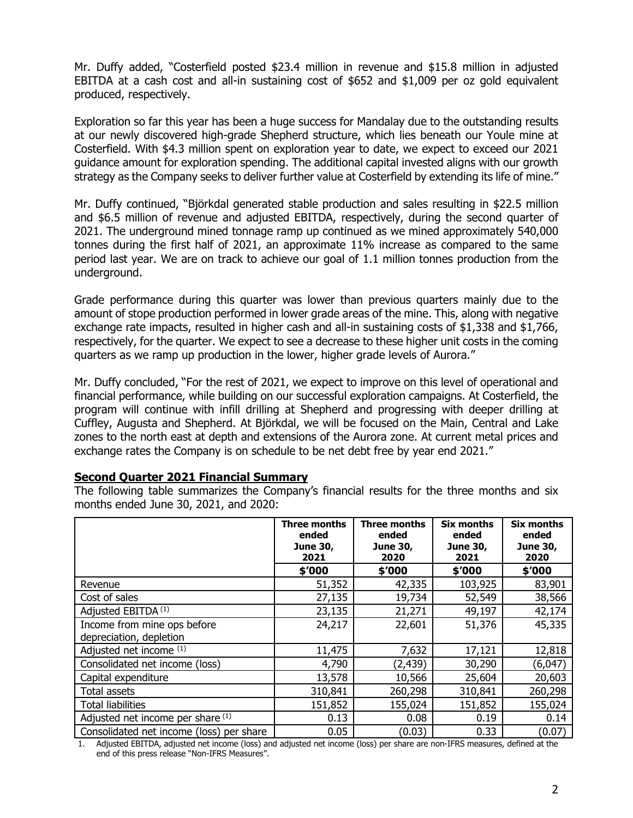Mr. Duffy added, "Costerfield posted \$23.4 million in revenue and \$15.8 million in adjusted EBITDA at a cash cost and all-in sustaining cost of \$652 and \$1,009 per oz gold equivalent produced, respectively.

Exploration so far this year has been a huge success for Mandalay due to the outstanding results at our newly discovered high-grade Shepherd structure, which lies beneath our Youle mine at Costerfield. With \$4.3 million spent on exploration year to date, we expect to exceed our 2021 guidance amount for exploration spending. The additional capital invested aligns with our growth strategy as the Company seeks to deliver further value at Costerfield by extending its life of mine."

Mr. Duffy continued, "Björkdal generated stable production and sales resulting in \$22.5 million and \$6.5 million of revenue and adjusted EBITDA, respectively, during the second quarter of 2021. The underground mined tonnage ramp up continued as we mined approximately 540,000 tonnes during the first half of 2021, an approximate 11% increase as compared to the same period last year. We are on track to achieve our goal of 1.1 million tonnes production from the underground.

Grade performance during this quarter was lower than previous quarters mainly due to the amount of stope production performed in lower grade areas of the mine. This, along with negative exchange rate impacts, resulted in higher cash and all-in sustaining costs of \$1,338 and \$1,766, respectively, for the quarter. We expect to see a decrease to these higher unit costs in the coming quarters as we ramp up production in the lower, higher grade levels of Aurora."

Mr. Duffy concluded, "For the rest of 2021, we expect to improve on this level of operational and financial performance, while building on our successful exploration campaigns. At Costerfield, the program will continue with infill drilling at Shepherd and progressing with deeper drilling at Cuffley, Augusta and Shepherd. At Björkdal, we will be focused on the Main, Central and Lake zones to the north east at depth and extensions of the Aurora zone. At current metal prices and exchange rates the Company is on schedule to be net debt free by year end 2021."

#### **Second Quarter 2021 Financial Summary**

The following table summarizes the Company's financial results for the three months and six months ended June 30, 2021, and 2020:

|                                                        | <b>Three months</b><br>ended<br><b>June 30,</b><br>2021 | <b>Three months</b><br>ended<br><b>June 30,</b><br>2020 | Six months<br>ended<br><b>June 30,</b><br>2021 | Six months<br>ended<br><b>June 30,</b><br>2020 |
|--------------------------------------------------------|---------------------------------------------------------|---------------------------------------------------------|------------------------------------------------|------------------------------------------------|
|                                                        | \$'000                                                  | \$'000                                                  | \$'000                                         | \$'000                                         |
| Revenue                                                | 51,352                                                  | 42,335                                                  | 103,925                                        | 83,901                                         |
| Cost of sales                                          | 27,135                                                  | 19,734                                                  | 52,549                                         | 38,566                                         |
| Adjusted EBITDA <sup>(1)</sup>                         | 23,135                                                  | 21,271                                                  | 49,197                                         | 42,174                                         |
| Income from mine ops before<br>depreciation, depletion | 24,217                                                  | 22,601                                                  | 51,376                                         | 45,335                                         |
| Adjusted net income (1)                                | 11,475                                                  | 7,632                                                   | 17,121                                         | 12,818                                         |
| Consolidated net income (loss)                         | 4,790                                                   | (2, 439)                                                | 30,290                                         | (6,047)                                        |
| Capital expenditure                                    | 13,578                                                  | 10,566                                                  | 25,604                                         | 20,603                                         |
| Total assets                                           | 310,841                                                 | 260,298                                                 | 310,841                                        | 260,298                                        |
| <b>Total liabilities</b>                               | 151,852                                                 | 155,024                                                 | 151,852                                        | 155,024                                        |
| Adjusted net income per share (1)                      | 0.13                                                    | 0.08                                                    | 0.19                                           | 0.14                                           |
| Consolidated net income (loss) per share               | 0.05                                                    | (0.03)                                                  | 0.33                                           | (0.07)                                         |

1. Adjusted EBITDA, adjusted net income (loss) and adjusted net income (loss) per share are non-IFRS measures, defined at the end of this press release "Non-IFRS Measures".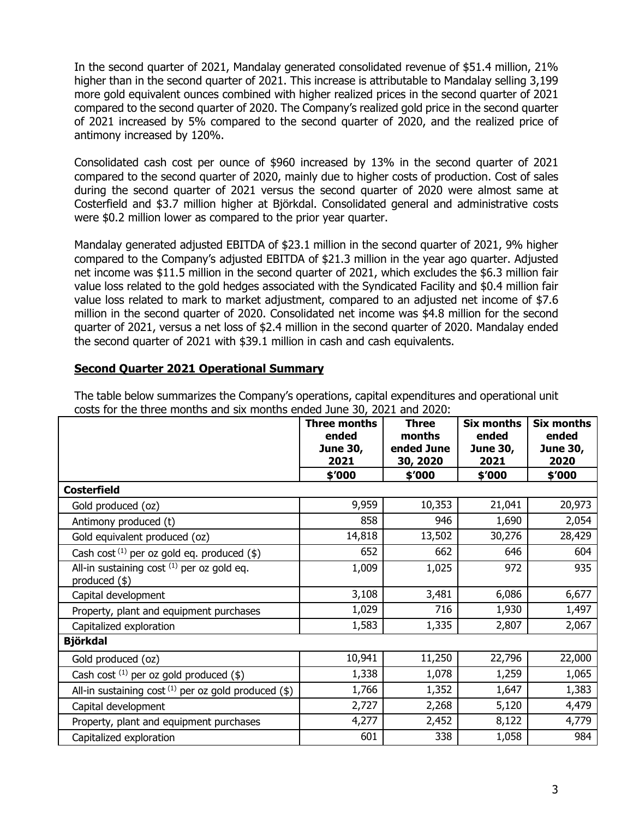In the second quarter of 2021, Mandalay generated consolidated revenue of \$51.4 million, 21% higher than in the second quarter of 2021. This increase is attributable to Mandalay selling 3,199 more gold equivalent ounces combined with higher realized prices in the second quarter of 2021 compared to the second quarter of 2020. The Company's realized gold price in the second quarter of 2021 increased by 5% compared to the second quarter of 2020, and the realized price of antimony increased by 120%.

Consolidated cash cost per ounce of \$960 increased by 13% in the second quarter of 2021 compared to the second quarter of 2020, mainly due to higher costs of production. Cost of sales during the second quarter of 2021 versus the second quarter of 2020 were almost same at Costerfield and \$3.7 million higher at Björkdal. Consolidated general and administrative costs were \$0.2 million lower as compared to the prior year quarter.

Mandalay generated adjusted EBITDA of \$23.1 million in the second quarter of 2021, 9% higher compared to the Company's adjusted EBITDA of \$21.3 million in the year ago quarter. Adjusted net income was \$11.5 million in the second quarter of 2021, which excludes the \$6.3 million fair value loss related to the gold hedges associated with the Syndicated Facility and \$0.4 million fair value loss related to mark to market adjustment, compared to an adjusted net income of \$7.6 million in the second quarter of 2020. Consolidated net income was \$4.8 million for the second quarter of 2021, versus a net loss of \$2.4 million in the second quarter of 2020. Mandalay ended the second quarter of 2021 with \$39.1 million in cash and cash equivalents.

# **Second Quarter 2021 Operational Summary**

The table below summarizes the Company's operations, capital expenditures and operational unit costs for the three months and six months ended June 30, 2021 and 2020:

|                                                                | <b>Three months</b><br>ended<br><b>June 30,</b><br>2021 | <b>Three</b><br>months<br>ended June<br>30, 2020 | <b>Six months</b><br>ended<br><b>June 30,</b><br>2021 | <b>Six months</b><br>ended<br><b>June 30,</b><br>2020 |
|----------------------------------------------------------------|---------------------------------------------------------|--------------------------------------------------|-------------------------------------------------------|-------------------------------------------------------|
|                                                                | \$'000                                                  | \$'000                                           | \$'000                                                | \$′000                                                |
| <b>Costerfield</b>                                             |                                                         |                                                  |                                                       |                                                       |
| Gold produced (oz)                                             | 9,959                                                   | 10,353                                           | 21,041                                                | 20,973                                                |
| Antimony produced (t)                                          | 858                                                     | 946                                              | 1,690                                                 | 2,054                                                 |
| Gold equivalent produced (oz)                                  | 14,818                                                  | 13,502                                           | 30,276                                                | 28,429                                                |
| Cash cost $^{(1)}$ per oz gold eq. produced (\$)               | 652                                                     | 662                                              | 646                                                   | 604                                                   |
| All-in sustaining cost $(1)$ per oz gold eq.<br>produced $(*)$ | 1,009                                                   | 1,025                                            | 972                                                   | 935                                                   |
| Capital development                                            | 3,108                                                   | 3,481                                            | 6,086                                                 | 6,677                                                 |
| Property, plant and equipment purchases                        | 1,029                                                   | 716                                              | 1,930                                                 | 1,497                                                 |
| Capitalized exploration                                        | 1,583                                                   | 1,335                                            | 2,807                                                 | 2,067                                                 |
| <b>Björkdal</b>                                                |                                                         |                                                  |                                                       |                                                       |
| Gold produced (oz)                                             | 10,941                                                  | 11,250                                           | 22,796                                                | 22,000                                                |
| Cash cost $(1)$ per oz gold produced $(\$)$                    | 1,338                                                   | 1,078                                            | 1,259                                                 | 1,065                                                 |
| All-in sustaining cost $(1)$ per oz gold produced (\$)         | 1,766                                                   | 1,352                                            | 1,647                                                 | 1,383                                                 |
| Capital development                                            | 2,727                                                   | 2,268                                            | 5,120                                                 | 4,479                                                 |
| Property, plant and equipment purchases                        | 4,277                                                   | 2,452                                            | 8,122                                                 | 4,779                                                 |
| Capitalized exploration                                        | 601                                                     | 338                                              | 1,058                                                 | 984                                                   |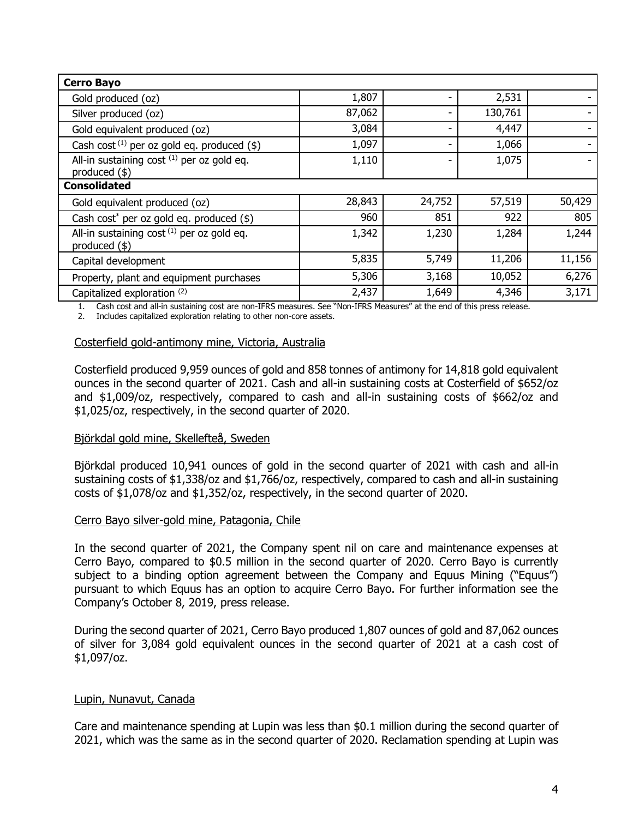| <b>Cerro Bayo</b>                                             |        |        |         |        |
|---------------------------------------------------------------|--------|--------|---------|--------|
| Gold produced (oz)                                            | 1,807  |        | 2,531   |        |
| Silver produced (oz)                                          | 87,062 | ٠      | 130,761 |        |
| Gold equivalent produced (oz)                                 | 3,084  |        | 4,447   |        |
| Cash cost $(1)$ per oz gold eq. produced $(\$)$               | 1,097  | -      | 1,066   |        |
| All-in sustaining cost (1) per oz gold eq.<br>produced $(*)$  | 1,110  |        | 1,075   |        |
| <b>Consolidated</b>                                           |        |        |         |        |
| Gold equivalent produced (oz)                                 | 28,843 | 24,752 | 57,519  | 50,429 |
| Cash cost* per oz gold eq. produced $(*)$                     | 960    | 851    | 922     | 805    |
| All-in sustaining cost (1) per oz gold eq.<br>produced $(\$)$ | 1,342  | 1,230  | 1,284   | 1,244  |
| Capital development                                           | 5,835  | 5,749  | 11,206  | 11,156 |
| Property, plant and equipment purchases                       | 5,306  | 3,168  | 10,052  | 6,276  |
| Capitalized exploration (2)                                   | 2,437  | 1,649  | 4,346   | 3,171  |

1. Cash cost and all-in sustaining cost are non-IFRS measures. See "Non-IFRS Measures" at the end of this press release.

1. Cash cost and all-in sustaining cost are non-IFRS measures. See 1<br>2. Includes capitalized exploration relating to other non-core assets.

#### Costerfield gold-antimony mine, Victoria, Australia

Costerfield produced 9,959 ounces of gold and 858 tonnes of antimony for 14,818 gold equivalent ounces in the second quarter of 2021. Cash and all-in sustaining costs at Costerfield of \$652/oz and \$1,009/oz, respectively, compared to cash and all-in sustaining costs of \$662/oz and \$1,025/oz, respectively, in the second quarter of 2020.

#### Björkdal gold mine, Skellefteå, Sweden

Björkdal produced 10,941 ounces of gold in the second quarter of 2021 with cash and all-in sustaining costs of \$1,338/oz and \$1,766/oz, respectively, compared to cash and all-in sustaining costs of \$1,078/oz and \$1,352/oz, respectively, in the second quarter of 2020.

#### Cerro Bayo silver-gold mine, Patagonia, Chile

In the second quarter of 2021, the Company spent nil on care and maintenance expenses at Cerro Bayo, compared to \$0.5 million in the second quarter of 2020. Cerro Bayo is currently subject to a binding option agreement between the Company and Equus Mining ("Equus") pursuant to which Equus has an option to acquire Cerro Bayo. For further information see the Company's October 8, 2019, press release.

During the second quarter of 2021, Cerro Bayo produced 1,807 ounces of gold and 87,062 ounces of silver for 3,084 gold equivalent ounces in the second quarter of 2021 at a cash cost of \$1,097/oz.

#### Lupin, Nunavut, Canada

Care and maintenance spending at Lupin was less than \$0.1 million during the second quarter of 2021, which was the same as in the second quarter of 2020. Reclamation spending at Lupin was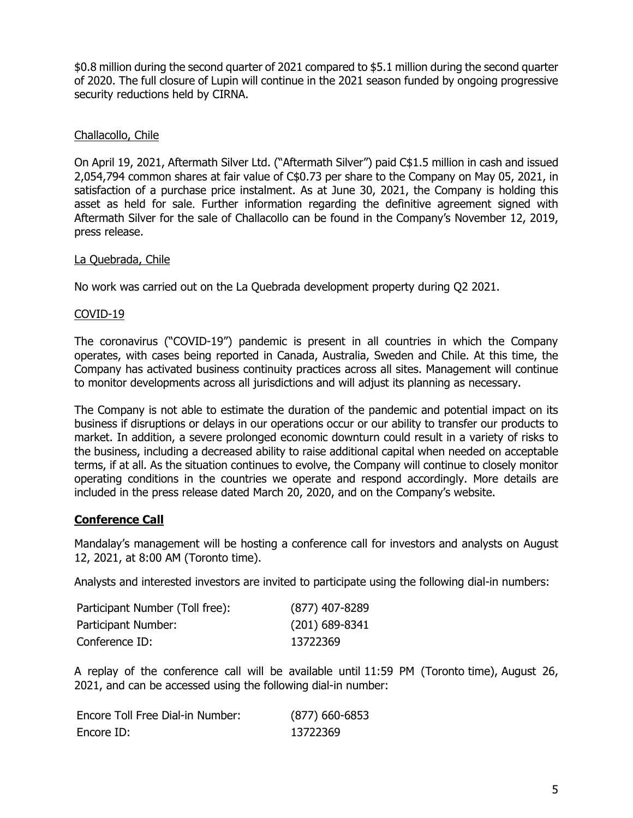\$0.8 million during the second quarter of 2021 compared to \$5.1 million during the second quarter of 2020. The full closure of Lupin will continue in the 2021 season funded by ongoing progressive security reductions held by CIRNA.

#### Challacollo, Chile

On April 19, 2021, Aftermath Silver Ltd. ("Aftermath Silver") paid C\$1.5 million in cash and issued 2,054,794 common shares at fair value of C\$0.73 per share to the Company on May 05, 2021, in satisfaction of a purchase price instalment. As at June 30, 2021, the Company is holding this asset as held for sale. Further information regarding the definitive agreement signed with Aftermath Silver for the sale of Challacollo can be found in the Company's November 12, 2019, press release.

#### La Quebrada, Chile

No work was carried out on the La Quebrada development property during Q2 2021.

#### COVID-19

The coronavirus ("COVID-19") pandemic is present in all countries in which the Company operates, with cases being reported in Canada, Australia, Sweden and Chile. At this time, the Company has activated business continuity practices across all sites. Management will continue to monitor developments across all jurisdictions and will adjust its planning as necessary.

The Company is not able to estimate the duration of the pandemic and potential impact on its business if disruptions or delays in our operations occur or our ability to transfer our products to market. In addition, a severe prolonged economic downturn could result in a variety of risks to the business, including a decreased ability to raise additional capital when needed on acceptable terms, if at all. As the situation continues to evolve, the Company will continue to closely monitor operating conditions in the countries we operate and respond accordingly. More details are included in the press release dated March 20, 2020, and on the Company's website.

# **Conference Call**

Mandalay's management will be hosting a conference call for investors and analysts on August 12, 2021, at 8:00 AM (Toronto time).

Analysts and interested investors are invited to participate using the following dial-in numbers:

| Participant Number (Toll free): | $(877)$ 407-8289 |
|---------------------------------|------------------|
| Participant Number:             | $(201)$ 689-8341 |
| Conference ID:                  | 13722369         |

A replay of the conference call will be available until 11:59 PM (Toronto time), August 26, 2021, and can be accessed using the following dial-in number:

| Encore Toll Free Dial-in Number: | $(877)$ 660-6853 |
|----------------------------------|------------------|
| Encore ID:                       | 13722369         |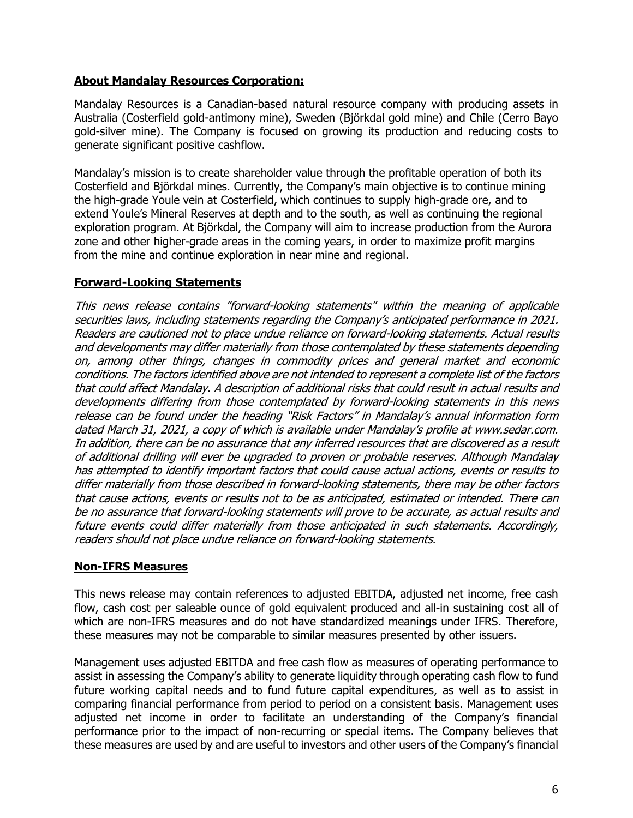# **About Mandalay Resources Corporation:**

Mandalay Resources is a Canadian-based natural resource company with producing assets in Australia (Costerfield gold-antimony mine), Sweden (Björkdal gold mine) and Chile (Cerro Bayo gold-silver mine). The Company is focused on growing its production and reducing costs to generate significant positive cashflow.

Mandalay's mission is to create shareholder value through the profitable operation of both its Costerfield and Björkdal mines. Currently, the Company's main objective is to continue mining the high-grade Youle vein at Costerfield, which continues to supply high-grade ore, and to extend Youle's Mineral Reserves at depth and to the south, as well as continuing the regional exploration program. At Björkdal, the Company will aim to increase production from the Aurora zone and other higher-grade areas in the coming years, in order to maximize profit margins from the mine and continue exploration in near mine and regional.

# **Forward-Looking Statements**

This news release contains "forward-looking statements" within the meaning of applicable securities laws, including statements regarding the Company's anticipated performance in 2021. Readers are cautioned not to place undue reliance on forward-looking statements. Actual results and developments may differ materially from those contemplated by these statements depending on, among other things, changes in commodity prices and general market and economic conditions. The factors identified above are not intended to represent a complete list of the factors that could affect Mandalay. A description of additional risks that could result in actual results and developments differing from those contemplated by forward-looking statements in this news release can be found under the heading "Risk Factors" in Mandalay's annual information form dated March 31, 2021, a copy of which is available under Mandalay's profile at www.sedar.com. In addition, there can be no assurance that any inferred resources that are discovered as a result of additional drilling will ever be upgraded to proven or probable reserves. Although Mandalay has attempted to identify important factors that could cause actual actions, events or results to differ materially from those described in forward-looking statements, there may be other factors that cause actions, events or results not to be as anticipated, estimated or intended. There can be no assurance that forward-looking statements will prove to be accurate, as actual results and future events could differ materially from those anticipated in such statements. Accordingly, readers should not place undue reliance on forward-looking statements.

# **Non-IFRS Measures**

This news release may contain references to adjusted EBITDA, adjusted net income, free cash flow, cash cost per saleable ounce of gold equivalent produced and all-in sustaining cost all of which are non-IFRS measures and do not have standardized meanings under IFRS. Therefore, these measures may not be comparable to similar measures presented by other issuers.

Management uses adjusted EBITDA and free cash flow as measures of operating performance to assist in assessing the Company's ability to generate liquidity through operating cash flow to fund future working capital needs and to fund future capital expenditures, as well as to assist in comparing financial performance from period to period on a consistent basis. Management uses adjusted net income in order to facilitate an understanding of the Company's financial performance prior to the impact of non-recurring or special items. The Company believes that these measures are used by and are useful to investors and other users of the Company's financial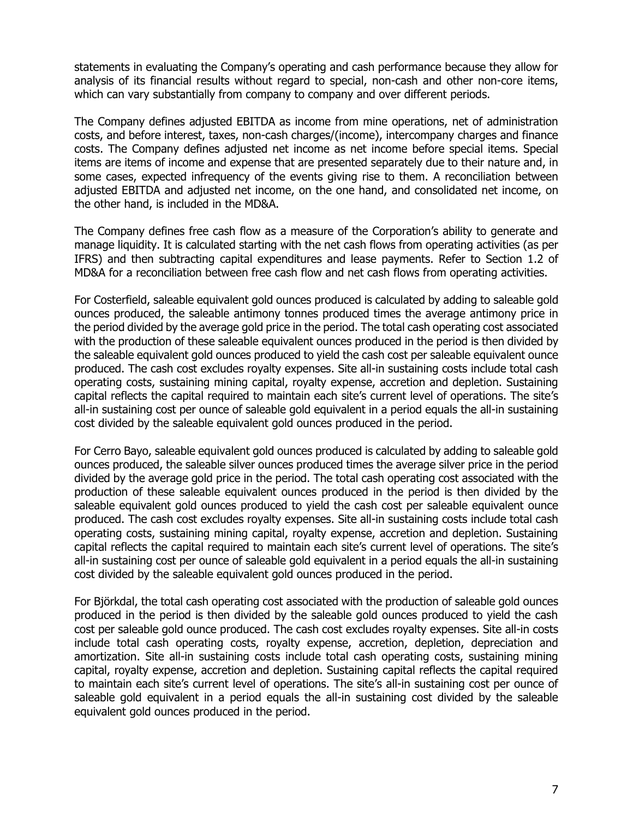statements in evaluating the Company's operating and cash performance because they allow for analysis of its financial results without regard to special, non-cash and other non-core items, which can vary substantially from company to company and over different periods.

The Company defines adjusted EBITDA as income from mine operations, net of administration costs, and before interest, taxes, non-cash charges/(income), intercompany charges and finance costs. The Company defines adjusted net income as net income before special items. Special items are items of income and expense that are presented separately due to their nature and, in some cases, expected infrequency of the events giving rise to them. A reconciliation between adjusted EBITDA and adjusted net income, on the one hand, and consolidated net income, on the other hand, is included in the MD&A.

The Company defines free cash flow as a measure of the Corporation's ability to generate and manage liquidity. It is calculated starting with the net cash flows from operating activities (as per IFRS) and then subtracting capital expenditures and lease payments. Refer to Section 1.2 of MD&A for a reconciliation between free cash flow and net cash flows from operating activities.

For Costerfield, saleable equivalent gold ounces produced is calculated by adding to saleable gold ounces produced, the saleable antimony tonnes produced times the average antimony price in the period divided by the average gold price in the period. The total cash operating cost associated with the production of these saleable equivalent ounces produced in the period is then divided by the saleable equivalent gold ounces produced to yield the cash cost per saleable equivalent ounce produced. The cash cost excludes royalty expenses. Site all-in sustaining costs include total cash operating costs, sustaining mining capital, royalty expense, accretion and depletion. Sustaining capital reflects the capital required to maintain each site's current level of operations. The site's all-in sustaining cost per ounce of saleable gold equivalent in a period equals the all-in sustaining cost divided by the saleable equivalent gold ounces produced in the period.

For Cerro Bayo, saleable equivalent gold ounces produced is calculated by adding to saleable gold ounces produced, the saleable silver ounces produced times the average silver price in the period divided by the average gold price in the period. The total cash operating cost associated with the production of these saleable equivalent ounces produced in the period is then divided by the saleable equivalent gold ounces produced to yield the cash cost per saleable equivalent ounce produced. The cash cost excludes royalty expenses. Site all-in sustaining costs include total cash operating costs, sustaining mining capital, royalty expense, accretion and depletion. Sustaining capital reflects the capital required to maintain each site's current level of operations. The site's all-in sustaining cost per ounce of saleable gold equivalent in a period equals the all-in sustaining cost divided by the saleable equivalent gold ounces produced in the period.

For Björkdal, the total cash operating cost associated with the production of saleable gold ounces produced in the period is then divided by the saleable gold ounces produced to yield the cash cost per saleable gold ounce produced. The cash cost excludes royalty expenses. Site all-in costs include total cash operating costs, royalty expense, accretion, depletion, depreciation and amortization. Site all-in sustaining costs include total cash operating costs, sustaining mining capital, royalty expense, accretion and depletion. Sustaining capital reflects the capital required to maintain each site's current level of operations. The site's all-in sustaining cost per ounce of saleable gold equivalent in a period equals the all-in sustaining cost divided by the saleable equivalent gold ounces produced in the period.